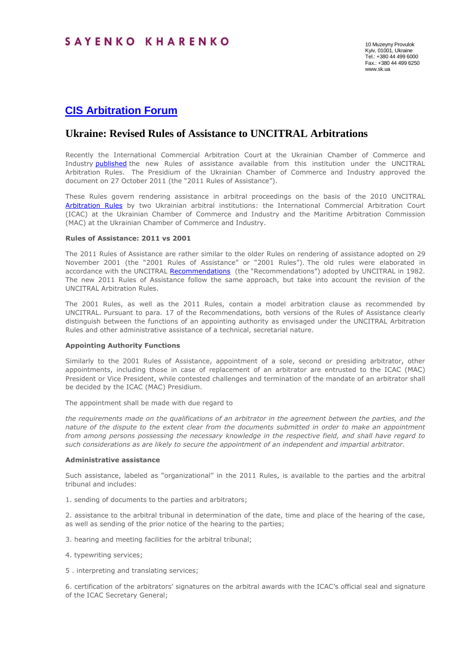# **[CIS Arbitration Forum](http://cisarbitration.com/2012/01/15/ukrainian-courts-review-arbitrability-of-corporate-disputes/)**

# **Ukraine: Revised Rules of Assistance to UNCITRAL Arbitrations**

Recently the International Commercial Arbitration Court at the Ukrainian Chamber of Commerce and Industry **[published](http://www.ucci.org.ua/arb/icac/en/unrules.html)** the new Rules of assistance available from this institution under the UNCITRAL Arbitration Rules. The Presidium of the Ukrainian Chamber of Commerce and Industry approved the document on 27 October 2011 (the "2011 Rules of Assistance").

These Rules govern rendering assistance in arbitral proceedings on the basis of the 2010 UNCITRAL [Arbitration Rules](http://www.uncitral.org/pdf/english/texts/arbitration/arb-rules-revised/arb-rules-revised-2010-e.pdf) by two Ukrainian arbitral institutions: the International Commercial Arbitration Court (ICAC) at the Ukrainian Chamber of Commerce and Industry and the Maritime Arbitration Commission (MAC) at the Ukrainian Chamber of Commerce and Industry.

## **Rules of Assistance: 2011 vs 2001**

The 2011 Rules of Assistance are rather similar to the older Rules on rendering of assistance adopted on 29 November 2001 (the "2001 Rules of Assistance" or "2001 Rules"). The old rules were elaborated in accordance with the UNCITRAL [Recommendations](http://www.uncitral.org/uncitral/en/uncitral_texts/arbitration/1982Recommendations_arbitration.html) (the "Recommendations") adopted by UNCITRAL in 1982. The new 2011 Rules of Assistance follow the same approach, but take into account the revision of the UNCITRAL Arbitration Rules.

The 2001 Rules, as well as the 2011 Rules, contain a model arbitration clause as recommended by UNCITRAL. Pursuant to para. 17 of the Recommendations, both versions of the Rules of Assistance clearly distinguish between the functions of an appointing authority as envisaged under the UNCITRAL Arbitration Rules and other administrative assistance of a technical, secretarial nature.

#### **Appointing Authority Functions**

Similarly to the 2001 Rules of Assistance, appointment of a sole, second or presiding arbitrator, other appointments, including those in case of replacement of an arbitrator are entrusted to the ICAC (MAC) President or Vice President, while contested challenges and termination of the mandate of an arbitrator shall be decided by the ICAC (MAC) Presidium.

The appointment shall be made with due regard to

*the requirements made on the qualifications of an arbitrator in the agreement between the parties, and the nature of the dispute to the extent clear from the documents submitted in order to make an appointment from among persons possessing the necessary knowledge in the respective field, and shall have regard to such considerations as are likely to secure the appointment of an independent and impartial arbitrator.*

### **Administrative assistance**

Such assistance, labeled as "organizational" in the 2011 Rules, is available to the parties and the arbitral tribunal and includes:

1. sending of documents to the parties and arbitrators;

2. assistance to the arbitral tribunal in determination of the date, time and place of the hearing of the case, as well as sending of the prior notice of the hearing to the parties;

3. hearing and meeting facilities for the arbitral tribunal;

4. typewriting services;

5 . interpreting and translating services;

6. certification of the arbitrators' signatures on the arbitral awards with the ICAC's official seal and signature of the ICAC Secretary General;